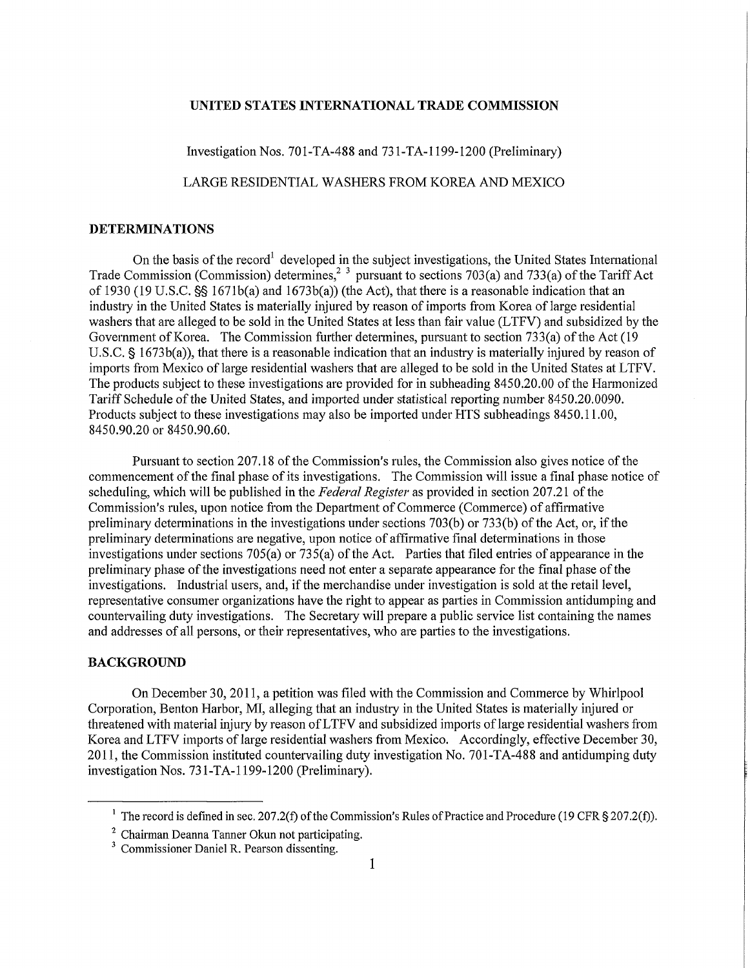## **UNITED STATES INTERNATIONAL TRADE COMMISSION**

Investigation Nos. 701-TA-488 and 731-TA-1199-1200 (Preliminary)

LARGE RESIDENTIAL WASHERS FROM KOREA AND MEXICO

## **DETERMINATIONS**

On the basis of the record<sup>1</sup> developed in the subject investigations, the United States International Trade Commission (Commission) determines,<sup>2</sup> <sup>3</sup> pursuant to sections 703(a) and 733(a) of the Tariff Act of 1930 (19 U.S.C. §§ 1671b(a) and 1673b(a)) (the Act), that there is a reasonable indication that an industiy in the United States is materially injured by reason of imports from Korea of large residential washers that are alleged to be sold in the United States at less than fair value (LTFV) and subsidized by the Government of Korea. The Commission further determines, pursuant to section 733(a) of the Act (19 U.S.C. § 1673b(a)), that there is a reasonable indication that an industry is materially injured by reason of imports from Mexico of large residential washers that are alleged to be sold in the United States at LTFV. The products subject to these investigations are provided for in subheading 8450.20.00 of the Harmonized Tariff Schedule of the United States, and imported under statistical reporting number 8450.20.0090. Products subject to these investigations may also be imported under HTS subheadings 8450.11.00, 8450.90.20 or 8450.90.60.

Pursuant to section 207.18 of the Commission's rules, the Commission also gives notice of the commencement of the final phase of its investigations. The Commission will issue a final phase notice of scheduling, which will be published in the *Federal Register* as provided in section 207.21 of the Commission's rules, upon notice from the Department of Commerce (Commerce) of affirmative preliminaiy determinations in the investigations under sections 703(b) or 733(b) of the Act, or, if the preliminary determinations are negative, upon notice of affirmative final determinations in those investigations under sections  $705(a)$  or  $735(a)$  of the Act. Parties that filed entries of appearance in the preliminary phase of the investigations need not enter a separate appearance for the final phase of the investigations. Industrial users, and, if the merchandise under investigation is sold at the retail level, representative consumer organizations have the right to appear as parties in Commission antidumping and countervailing duty investigations. The Secretary will prepare a public service list containing the names and addresses of all persons, or their representatives, who are parties to the investigations.

## **BACKGROUND**

On December 30, 2011, a petition was filed with the Commission and Commerce by Whirlpool Corporation, Benton Harbor, MI, alleging that an industry in the United States is materially injured or threatened with material injury by reason of LTFV and subsidized imports of large residential washers from Korea and LTFV imports of large residential washers from Mexico. Accordingly, effective December 30, 2011, the Commission instituted countervailing duty investigation No. 701-TA-488 and antidumping duty investigation Nos. 731-TA-1199-1200 (Preliminary).

The record is defined in sec. 207.2(f) of the Commission's Rules of Practice and Procedure (19 CFR § 207.2(f)).

<sup>&</sup>lt;sup>2</sup> Chairman Deanna Tanner Okun not participating.

<sup>3</sup> Commissioner Daniel R. Pearson dissenting.